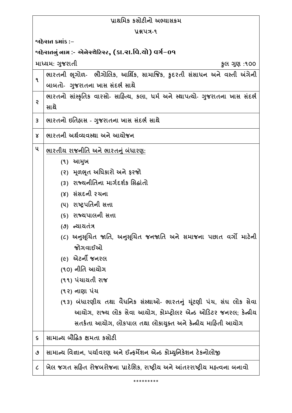| પ્રાથમિક કસોટીનો અભ્યાસક્રમ                             |                                                                                |  |
|---------------------------------------------------------|--------------------------------------------------------------------------------|--|
| <b>Y&amp;UA-9</b>                                       |                                                                                |  |
| જાહેરાત ક્રમાંક :−                                      |                                                                                |  |
| ર્જાહેરાતનું નામ :- એનેસ્ચેટિસ્ટ, (કા.રા.વિ.યો) વર્ગ−09 |                                                                                |  |
|                                                         | માધ્યમ: ગુજરાતી<br>કુલ ગુણ :૧૦૦                                                |  |
| ٩                                                       | ભારતની ભૂગોળ- ભૌગોલિક, આર્થિક, સામાજિક, કુદરતી સંસાધન અને વસ્તી અંગેની         |  |
|                                                         | બાબતો- ગુજરાતના ખાસ સંદર્ભ સાથે                                                |  |
| Ş                                                       | ભારતનો સાંસ્કૃતિક વારસો- સાહિત્ય, કલા, ધર્મ અને સ્થાપત્યો- ગુજરાતના ખાસ સંદર્ભ |  |
|                                                         | સાથે                                                                           |  |
| 3                                                       | ભારતનો ઇતિહ્રાસ - ગુજરાતના ખાસ સંદર્ભ સાથે                                     |  |
| Χ                                                       | ભારતની અર્થવ્યવસ્થા અને આયોજન                                                  |  |
| ૫                                                       | ભારતીય રાજનીતિ અને ભારતનું બંધારણ:                                             |  |
|                                                         | (૧) આમુખ                                                                       |  |
|                                                         | (૨) મૂળભૂત અધિકારો અને ફરજો                                                    |  |
|                                                         | (3) રાજ્યનીતિના માર્ગદર્શક સિદ્ધાંતો                                           |  |
|                                                         | (४) સંસદની રચના                                                                |  |
|                                                         | (૫) રાષ્ટ્રપતિની સત્તા                                                         |  |
|                                                         | (૬) રાજ્યપાલની સત્તા                                                           |  |
|                                                         | (૭) ન્યાયતંત્ર                                                                 |  |
|                                                         | (૮) અનુસૂચિત જાતિ, અનુસૂચિત જનજાતિ અને સમાજના પછાત વર્ગો માટેની                |  |
|                                                         | જોગવાઈઓ                                                                        |  |
|                                                         | <i>(૯)</i> એટર્ની જનરલ                                                         |  |
|                                                         | (૧૦) નીતિ આયોગ                                                                 |  |
|                                                         | (૧૧) પંચાયતી રાજ                                                               |  |
|                                                         | (૧૨) નાણા પંચ                                                                  |  |
|                                                         | (૧૩) બંધારણીય તથા વૈધનિક સંસ્થાઓ- ભારતનું યૂંટણી પંચ, સંઘ લોક સેવા             |  |
|                                                         | આયોગ, રાજ્ય લોક સેવા આયોગ, કોમ્પ્ટ્રોલર એન્ડ ઓડિટર જનરલ; કેન્દ્રીય             |  |
|                                                         | સતર્કતા આયોગ, લોકપાલ તથા લોકાયુક્ત અને કેન્દ્રીય માહિતી આયોગ                   |  |
| $\mathsf S$                                             | સામાન્ય બૌદ્ધિક ક્ષમતા કસોટી                                                   |  |
| ٯ                                                       | સામાન્ય વિજ્ઞાન, પર્યાવરણ અને ઈન્ફર્મેશન એન્ડ કોમ્યુનિકેશન ટેકનોલોજી           |  |
| $\mathcal{C}_{\mathcal{C}}$                             | ખેલ જગત સહિત રોજબરોજના પ્રાદેશિક, રાષ્ટ્રીય અને આંતરરાષ્ટ્રીય મહ્ત્વના બનાવો   |  |
|                                                         |                                                                                |  |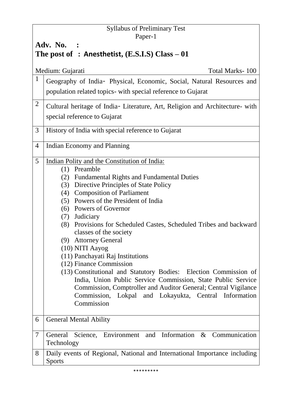## Syllabus of Preliminary Test Paper-1

# **Adv. No. : The post of : Anesthetist, (E.S.I.S) Class – 01**

|                | Medium: Gujarati<br>Total Marks-100                                                                                                                                                                                                                                                                                                                                                                                                                                                                                                                                                                                                                                                                                                                                              |
|----------------|----------------------------------------------------------------------------------------------------------------------------------------------------------------------------------------------------------------------------------------------------------------------------------------------------------------------------------------------------------------------------------------------------------------------------------------------------------------------------------------------------------------------------------------------------------------------------------------------------------------------------------------------------------------------------------------------------------------------------------------------------------------------------------|
| $\mathbf{1}$   | Geography of India- Physical, Economic, Social, Natural Resources and<br>population related topics- with special reference to Gujarat                                                                                                                                                                                                                                                                                                                                                                                                                                                                                                                                                                                                                                            |
| $\overline{2}$ | Cultural heritage of India- Literature, Art, Religion and Architecture- with<br>special reference to Gujarat                                                                                                                                                                                                                                                                                                                                                                                                                                                                                                                                                                                                                                                                     |
| 3              | History of India with special reference to Gujarat                                                                                                                                                                                                                                                                                                                                                                                                                                                                                                                                                                                                                                                                                                                               |
| $\overline{4}$ | Indian Economy and Planning                                                                                                                                                                                                                                                                                                                                                                                                                                                                                                                                                                                                                                                                                                                                                      |
| 5              | Indian Polity and the Constitution of India:<br>$(1)$ Preamble<br><b>Fundamental Rights and Fundamental Duties</b><br>(2)<br>(3) Directive Principles of State Policy<br>(4) Composition of Parliament<br>(5) Powers of the President of India<br>(6) Powers of Governor<br>(7) Judiciary<br>(8) Provisions for Scheduled Castes, Scheduled Tribes and backward<br>classes of the society<br>(9) Attorney General<br>(10) NITI Aayog<br>(11) Panchayati Raj Institutions<br>(12) Finance Commission<br>(13) Constitutional and Statutory Bodies: Election Commission of<br>India, Union Public Service Commission, State Public Service<br>Commission, Comptroller and Auditor General; Central Vigilance<br>Commission, Lokpal and Lokayukta, Central Information<br>Commission |
| 6              | <b>General Mental Ability</b>                                                                                                                                                                                                                                                                                                                                                                                                                                                                                                                                                                                                                                                                                                                                                    |
| $\tau$         | Science, Environment and Information & Communication<br>General<br>Technology                                                                                                                                                                                                                                                                                                                                                                                                                                                                                                                                                                                                                                                                                                    |
| 8              | Daily events of Regional, National and International Importance including<br><b>Sports</b>                                                                                                                                                                                                                                                                                                                                                                                                                                                                                                                                                                                                                                                                                       |

\*\*\*\*\*\*\*\*\*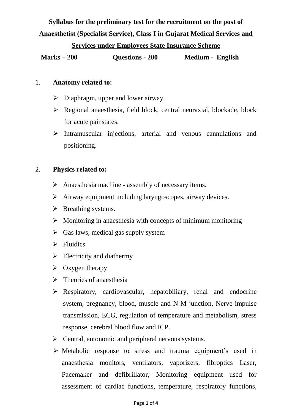**Syllabus for the preliminary test for the recruitment on the post of Anaesthetist (Specialist Service), Class I in Gujarat Medical Services and** 

#### **Services under Employees State Insurance Scheme**

**Marks – 200 Questions - 200 Medium - English**

#### 1. **Anatomy related to:**

- $\triangleright$  Diaphragm, upper and lower airway.
- Regional anaesthesia, field block, central neuraxial, blockade, block for acute painstates.
- $\triangleright$  Intramuscular injections, arterial and venous cannulations and positioning.

### 2. **Physics related to:**

- $\triangleright$  Anaesthesia machine assembly of necessary items.
- $\triangleright$  Airway equipment including laryngoscopes, airway devices.
- $\triangleright$  Breathing systems.
- $\triangleright$  Monitoring in anaesthesia with concepts of minimum monitoring
- $\triangleright$  Gas laws, medical gas supply system
- $\triangleright$  Fluidics
- $\triangleright$  Electricity and diathermy
- $\triangleright$  Oxygen therapy
- $\triangleright$  Theories of anaesthesia
- Respiratory, cardiovascular, hepatobiliary, renal and endocrine system, pregnancy, blood, muscle and N-M junction, Nerve impulse transmission, ECG, regulation of temperature and metabolism, stress response, cerebral blood flow and ICP.
- $\triangleright$  Central, autonomic and peripheral nervous systems.
- $\triangleright$  Metabolic response to stress and trauma equipment's used in anaesthesia monitors, ventilators, vaporizers, fibroptics Laser, Pacemaker and defibrillator, Monitoring equipment used for assessment of cardiac functions, temperature, respiratory functions,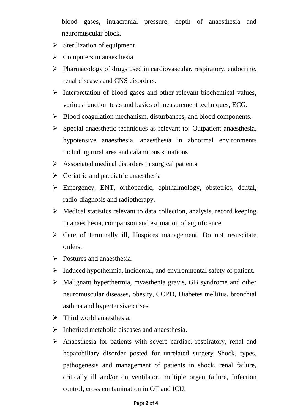blood gases, intracranial pressure, depth of anaesthesia and neuromuscular block.

- $\triangleright$  Sterilization of equipment
- $\triangleright$  Computers in anaesthesia
- $\triangleright$  Pharmacology of drugs used in cardiovascular, respiratory, endocrine, renal diseases and CNS disorders.
- $\triangleright$  Interpretation of blood gases and other relevant biochemical values, various function tests and basics of measurement techniques, ECG.
- $\triangleright$  Blood coagulation mechanism, disturbances, and blood components.
- $\triangleright$  Special anaesthetic techniques as relevant to: Outpatient anaesthesia, hypotensive anaesthesia, anaesthesia in abnormal environments including rural area and calamitous situations
- $\triangleright$  Associated medical disorders in surgical patients
- $\triangleright$  Geriatric and paediatric anaesthesia
- Emergency, ENT, orthopaedic, ophthalmology, obstetrics, dental, radio-diagnosis and radiotherapy.
- $\triangleright$  Medical statistics relevant to data collection, analysis, record keeping in anaesthesia, comparison and estimation of significance.
- $\triangleright$  Care of terminally ill, Hospices management. Do not resuscitate orders.
- $\triangleright$  Postures and anaesthesia.
- $\triangleright$  Induced hypothermia, incidental, and environmental safety of patient.
- $\triangleright$  Malignant hyperthermia, myasthenia gravis, GB syndrome and other neuromuscular diseases, obesity, COPD, Diabetes mellitus, bronchial asthma and hypertensive crises
- $\triangleright$  Third world anaesthesia.
- $\triangleright$  Inherited metabolic diseases and anaesthesia.
- $\triangleright$  Anaesthesia for patients with severe cardiac, respiratory, renal and hepatobiliary disorder posted for unrelated surgery Shock, types, pathogenesis and management of patients in shock, renal failure, critically ill and/or on ventilator, multiple organ failure, Infection control, cross contamination in OT and ICU.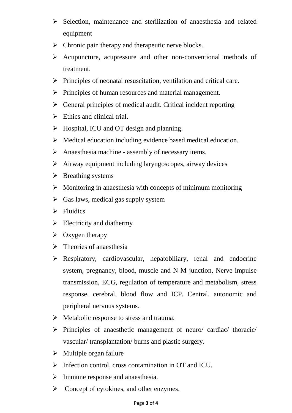- $\triangleright$  Selection, maintenance and sterilization of anaesthesia and related equipment
- $\triangleright$  Chronic pain therapy and therapeutic nerve blocks.
- Acupuncture, acupressure and other non-conventional methods of treatment.
- $\triangleright$  Principles of neonatal resuscitation, ventilation and critical care.
- $\triangleright$  Principles of human resources and material management.
- $\triangleright$  General principles of medical audit. Critical incident reporting
- $\triangleright$  Ethics and clinical trial.
- $\triangleright$  Hospital, ICU and OT design and planning.
- $\triangleright$  Medical education including evidence based medical education.
- $\triangleright$  Anaesthesia machine assembly of necessary items.
- $\triangleright$  Airway equipment including laryngoscopes, airway devices
- $\triangleright$  Breathing systems
- $\triangleright$  Monitoring in anaesthesia with concepts of minimum monitoring
- $\triangleright$  Gas laws, medical gas supply system
- $\triangleright$  Fluidics
- $\triangleright$  Electricity and diathermy
- $\triangleright$  Oxygen therapy
- $\triangleright$  Theories of anaesthesia
- Respiratory, cardiovascular, hepatobiliary, renal and endocrine system, pregnancy, blood, muscle and N-M junction, Nerve impulse transmission, ECG, regulation of temperature and metabolism, stress response, cerebral, blood flow and ICP. Central, autonomic and peripheral nervous systems.
- $\triangleright$  Metabolic response to stress and trauma.
- $\triangleright$  Principles of anaesthetic management of neuro/ cardiac/ thoracic/ vascular/ transplantation/ burns and plastic surgery.
- $\triangleright$  Multiple organ failure
- $\triangleright$  Infection control, cross contamination in OT and ICU.
- $\triangleright$  Immune response and anaesthesia.
- $\triangleright$  Concept of cytokines, and other enzymes.

#### Page **3** of **4**